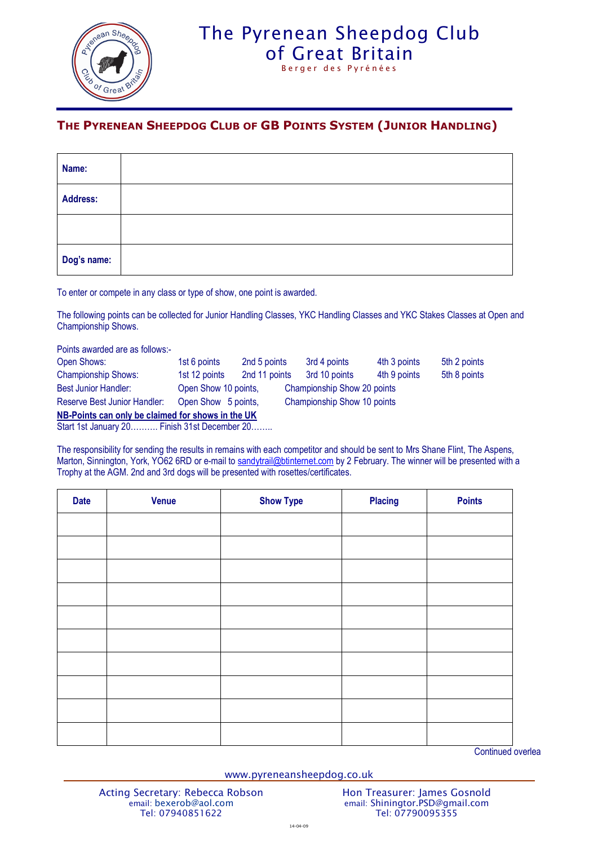

## The Pyrenean Sheepdog Club [of Great Britain](http://www.pyreneansheepdog.co.uk/index.htm) Berger des Pyrénées

**THE PYRENEAN SHEEPDOG CLUB OF GB POINTS SYSTEM (JUNIOR HANDLING)**

| Name:           |  |  |  |
|-----------------|--|--|--|
| <b>Address:</b> |  |  |  |
|                 |  |  |  |
| Dog's name:     |  |  |  |

To enter or compete in any class or type of show, one point is awarded.

The following points can be collected for Junior Handling Classes, YKC Handling Classes and YKC Stakes Classes at Open and Championship Shows.

Points awarded are as follows:- Open Shows: 1st 6 points 2nd 5 points 3rd 4 points 4th 3 points 5th 2 points Championship Shows: 1st 12 points 2nd 11 points 3rd 10 points 4th 9 points 5th 8 points Best Junior Handler: Open Show 10 points, Championship Show 20 points Reserve Best Junior Handler: Open Show 5 points, Championship Show 10 points **NB-Points can only be claimed for shows in the UK**

Start 1st January 20………. Finish 31st December 20……..

The responsibility for sending the results in remains with each competitor and should be sent to Mrs Shane Flint, The Aspens, Marton, Sinnington, York, YO62 6RD or e-mail to [sandytrail@btinternet.com](mailto:sandytrail@btinternet.com) by 2 February. The winner will be presented with a Trophy at the AGM. 2nd and 3rd dogs will be presented with rosettes/certificates.

| <b>Date</b> | <b>Venue</b> | <b>Show Type</b> | <b>Placing</b> | <b>Points</b> |
|-------------|--------------|------------------|----------------|---------------|
|             |              |                  |                |               |
|             |              |                  |                |               |
|             |              |                  |                |               |
|             |              |                  |                |               |
|             |              |                  |                |               |
|             |              |                  |                |               |
|             |              |                  |                |               |
|             |              |                  |                |               |
|             |              |                  |                |               |
|             |              |                  |                |               |

Continued overlea

www.pyreneansheepdog.co.uk